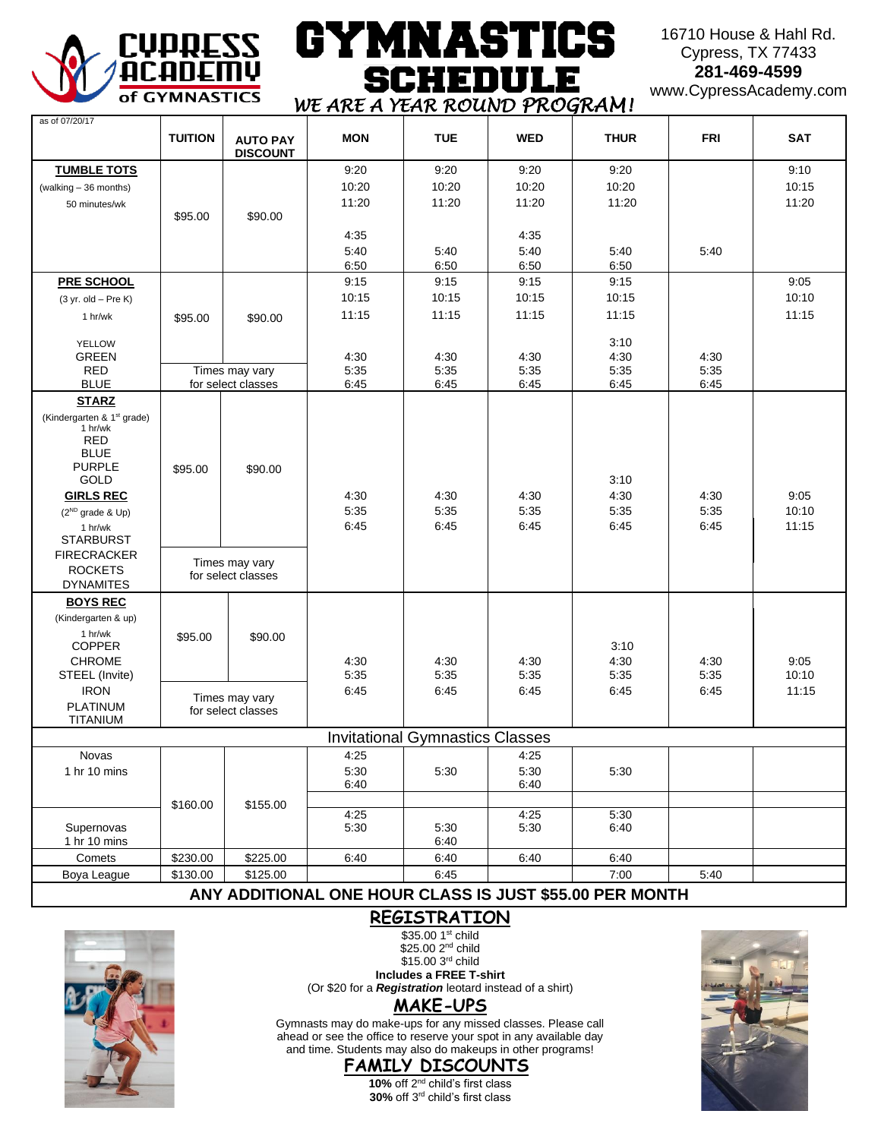

## GYMNAST! CS **SCHEDULE** *WE ARE A YEAR ROUND PROGRAM!*

### 16710 House & Hahl Rd. Cypress, TX 77433 **281-469-4599**

www.CypressAcademy.com

| as of 07/20/17                                    | <b>TUITION</b> |                                      | <b>MON</b>   | <b>TUE</b>                             | <b>WED</b>   | <b>THUR</b>  | <b>FRI</b>   | <b>SAT</b>     |
|---------------------------------------------------|----------------|--------------------------------------|--------------|----------------------------------------|--------------|--------------|--------------|----------------|
|                                                   |                | <b>AUTO PAY</b><br><b>DISCOUNT</b>   |              |                                        |              |              |              |                |
| <b>TUMBLE TOTS</b>                                |                |                                      | 9:20         | 9:20                                   | 9:20         | 9:20         |              | 9:10           |
| (walking - 36 months)                             |                |                                      | 10:20        | 10:20                                  | 10:20        | 10:20        |              | 10:15          |
| 50 minutes/wk                                     |                |                                      | 11:20        | 11:20                                  | 11:20        | 11:20        |              | 11:20          |
|                                                   | \$95.00        | \$90.00                              |              |                                        |              |              |              |                |
|                                                   |                |                                      | 4:35         |                                        | 4:35         |              |              |                |
|                                                   |                |                                      | 5:40         | 5:40                                   | 5:40         | 5:40         | 5:40         |                |
|                                                   |                |                                      | 6:50         | 6:50                                   | 6:50         | 6:50         |              |                |
| <b>PRE SCHOOL</b>                                 |                |                                      | 9:15         | 9:15                                   | 9:15         | 9:15         |              | 9:05           |
| $(3 yr. old - Pre K)$                             |                |                                      | 10:15        | 10:15                                  | 10:15        | 10:15        |              | 10:10          |
| 1 hr/wk                                           | \$95.00        | \$90.00                              | 11:15        | 11:15                                  | 11:15        | 11:15        |              | 11:15          |
| <b>YELLOW</b>                                     |                |                                      |              |                                        |              | 3:10         |              |                |
| <b>GREEN</b>                                      |                |                                      | 4:30         | 4:30                                   | 4:30         | 4:30         | 4:30         |                |
| <b>RED</b>                                        |                | Times may vary                       | 5:35         | 5:35                                   | 5:35         | 5:35         | 5:35         |                |
| <b>BLUE</b>                                       |                | for select classes                   | 6:45         | 6:45                                   | 6:45         | 6:45         | 6:45         |                |
| <b>STARZ</b>                                      |                |                                      |              |                                        |              |              |              |                |
| (Kindergarten & 1 <sup>st</sup> grade)<br>1 hr/wk |                |                                      |              |                                        |              |              |              |                |
| <b>RED</b>                                        |                |                                      |              |                                        |              |              |              |                |
| <b>BLUE</b>                                       |                |                                      |              |                                        |              |              |              |                |
| <b>PURPLE</b>                                     | \$95.00        | \$90.00                              |              |                                        |              |              |              |                |
| GOLD                                              |                |                                      |              |                                        |              | 3:10         |              |                |
| <b>GIRLS REC</b>                                  |                |                                      | 4:30         | 4:30                                   | 4:30         | 4:30         | 4:30         | 9:05           |
| $(2^{ND}$ grade & Up)                             |                |                                      | 5:35<br>6:45 | 5:35<br>6:45                           | 5:35<br>6:45 | 5:35<br>6:45 | 5:35<br>6:45 | 10:10<br>11:15 |
| 1 hr/wk<br><b>STARBURST</b>                       |                |                                      |              |                                        |              |              |              |                |
| <b>FIRECRACKER</b>                                |                |                                      |              |                                        |              |              |              |                |
| <b>ROCKETS</b>                                    |                | Times may vary<br>for select classes |              |                                        |              |              |              |                |
| <b>DYNAMITES</b>                                  |                |                                      |              |                                        |              |              |              |                |
| <b>BOYS REC</b>                                   |                |                                      |              |                                        |              |              |              |                |
| (Kindergarten & up)                               |                |                                      |              |                                        |              |              |              |                |
| 1 hr/wk                                           | \$95.00        | \$90.00                              |              |                                        |              |              |              |                |
| <b>COPPER</b><br><b>CHROME</b>                    |                |                                      | 4:30         |                                        | 4:30         | 3:10<br>4:30 |              | 9:05           |
| STEEL (Invite)                                    |                |                                      | 5:35         | 4:30<br>5:35                           | 5:35         | 5:35         | 4:30<br>5:35 | 10:10          |
| <b>IRON</b>                                       |                |                                      | 6:45         | 6:45                                   | 6:45         | 6:45         | 6:45         | 11:15          |
| <b>PLATINUM</b>                                   |                | Times may vary<br>for select classes |              |                                        |              |              |              |                |
| TITANIUM                                          |                |                                      |              |                                        |              |              |              |                |
|                                                   |                |                                      |              | <b>Invitational Gymnastics Classes</b> |              |              |              |                |
| Novas                                             |                |                                      | 4:25         |                                        | 4:25         |              |              |                |
| 1 hr 10 mins                                      |                |                                      | 5:30         | 5:30                                   | 5:30         | 5:30         |              |                |
|                                                   |                |                                      | 6:40         |                                        | 6:40         |              |              |                |
|                                                   | \$160.00       | \$155.00                             |              |                                        |              |              |              |                |
| Supernovas                                        |                |                                      | 4:25<br>5:30 | 5:30                                   | 4:25<br>5:30 | 5:30<br>6:40 |              |                |
| 1 hr 10 mins                                      |                |                                      |              | 6:40                                   |              |              |              |                |
| Comets                                            | \$230.00       | \$225.00                             | 6:40         | 6:40                                   | 6:40         | 6:40         |              |                |
| Boya League                                       | \$130.00       | \$125.00                             |              | 6:45                                   |              | 7:00         | 5:40         |                |
|                                                   |                |                                      |              |                                        |              |              |              |                |

## **ANY ADDITIONAL ONE HOUR CLASS IS JUST \$55.00 PER MONTH REGISTRATION**



\$25.00 2<sup>nd</sup> child  $$15.003<sup>rd</sup>$  child **Includes a FREE T-shirt** (Or \$20 for a *Registration* leotard instead of a shirt)

\$35.00 1st child

Gymnasts may do make-ups for any missed classes. Please call ahead or see the office to reserve your spot in any available day and time. Students may also do makeups in other programs!





**FAMILY DISCOUNTS** 10% off 2<sup>nd</sup> child's first class

**30%** off 3rd child's first class